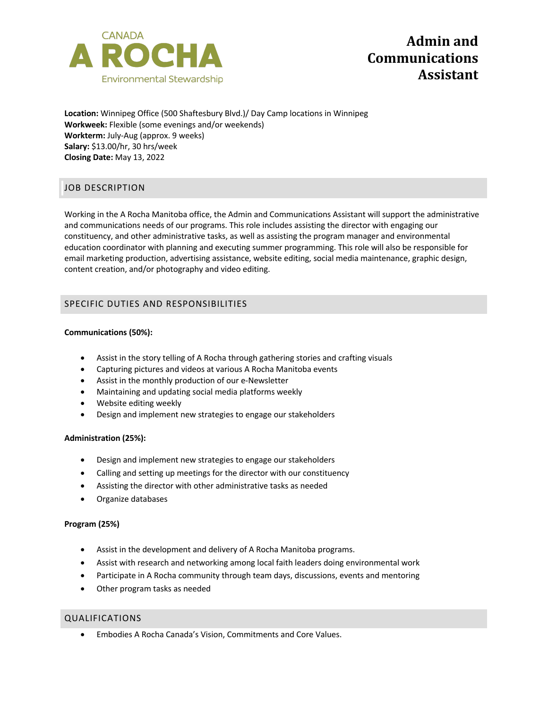

**Location:** Winnipeg Office (500 Shaftesbury Blvd.)/ Day Camp locations in Winnipeg **Workweek:** Flexible (some evenings and/or weekends) **Workterm:** July-Aug (approx. 9 weeks) **Salary:** \$13.00/hr, 30 hrs/week **Closing Date:** May 13, 2022

# JOB DESCRIPTION

Working in the A Rocha Manitoba office, the Admin and Communications Assistant will support the administrative and communications needs of our programs. This role includes assisting the director with engaging our constituency, and other administrative tasks, as well as assisting the program manager and environmental education coordinator with planning and executing summer programming. This role will also be responsible for email marketing production, advertising assistance, website editing, social media maintenance, graphic design, content creation, and/or photography and video editing.

# SPECIFIC DUTIES AND RESPONSIBILITIES

# **Communications (50%):**

- Assist in the story telling of A Rocha through gathering stories and crafting visuals
- Capturing pictures and videos at various A Rocha Manitoba events
- Assist in the monthly production of our e-Newsletter
- Maintaining and updating social media platforms weekly
- Website editing weekly
- Design and implement new strategies to engage our stakeholders

## **Administration (25%):**

- Design and implement new strategies to engage our stakeholders
- Calling and setting up meetings for the director with our constituency
- Assisting the director with other administrative tasks as needed
- Organize databases

## **Program (25%)**

- Assist in the development and delivery of A Rocha Manitoba programs.
- Assist with research and networking among local faith leaders doing environmental work
- Participate in A Rocha community through team days, discussions, events and mentoring
- Other program tasks as needed

## QUALIFICATIONS

• Embodies A Rocha Canada's Vision, Commitments and Core Values.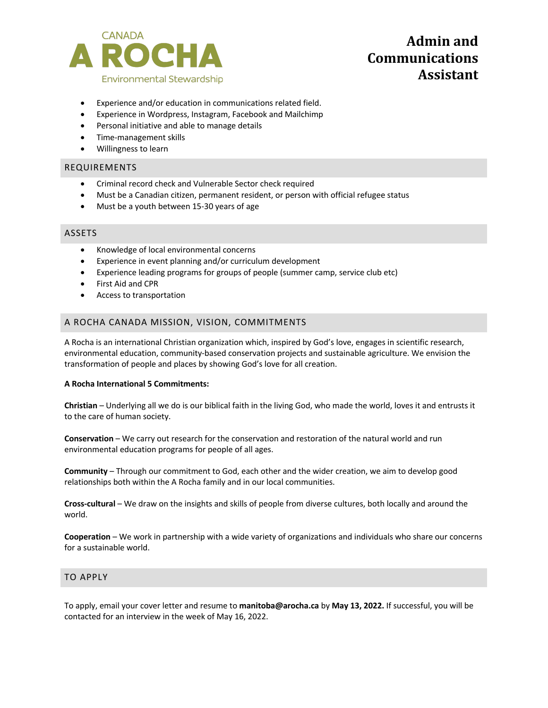

# **Admin** and **Communications Assistant**

- Experience and/or education in communications related field.
- Experience in Wordpress, Instagram, Facebook and Mailchimp
- Personal initiative and able to manage details
- Time-management skills
- Willingness to learn

# REQUIREMENTS

- Criminal record check and Vulnerable Sector check required
- Must be a Canadian citizen, permanent resident, or person with official refugee status
- Must be a youth between 15-30 years of age

## ASSETS

- Knowledge of local environmental concerns
- Experience in event planning and/or curriculum development
- Experience leading programs for groups of people (summer camp, service club etc)
- First Aid and CPR
- Access to transportation

# A ROCHA CANADA MISSION, VISION, COMMITMENTS

A Rocha is an international Christian organization which, inspired by God's love, engages in scientific research, environmental education, community-based conservation projects and sustainable agriculture. We envision the transformation of people and places by showing God's love for all creation.

## **A Rocha International 5 Commitments:**

**Christian** – Underlying all we do is our biblical faith in the living God, who made the world, loves it and entrusts it to the care of human society.

**Conservation** – We carry out research for the conservation and restoration of the natural world and run environmental education programs for people of all ages.

**Community** – Through our commitment to God, each other and the wider creation, we aim to develop good relationships both within the A Rocha family and in our local communities.

**Cross-cultural** – We draw on the insights and skills of people from diverse cultures, both locally and around the world.

**Cooperation** – We work in partnership with a wide variety of organizations and individuals who share our concerns for a sustainable world.

## TO APPLY

To apply, email your cover letter and resume to **manitoba@arocha.ca** by **May 13, 2022.** If successful, you will be contacted for an interview in the week of May 16, 2022.